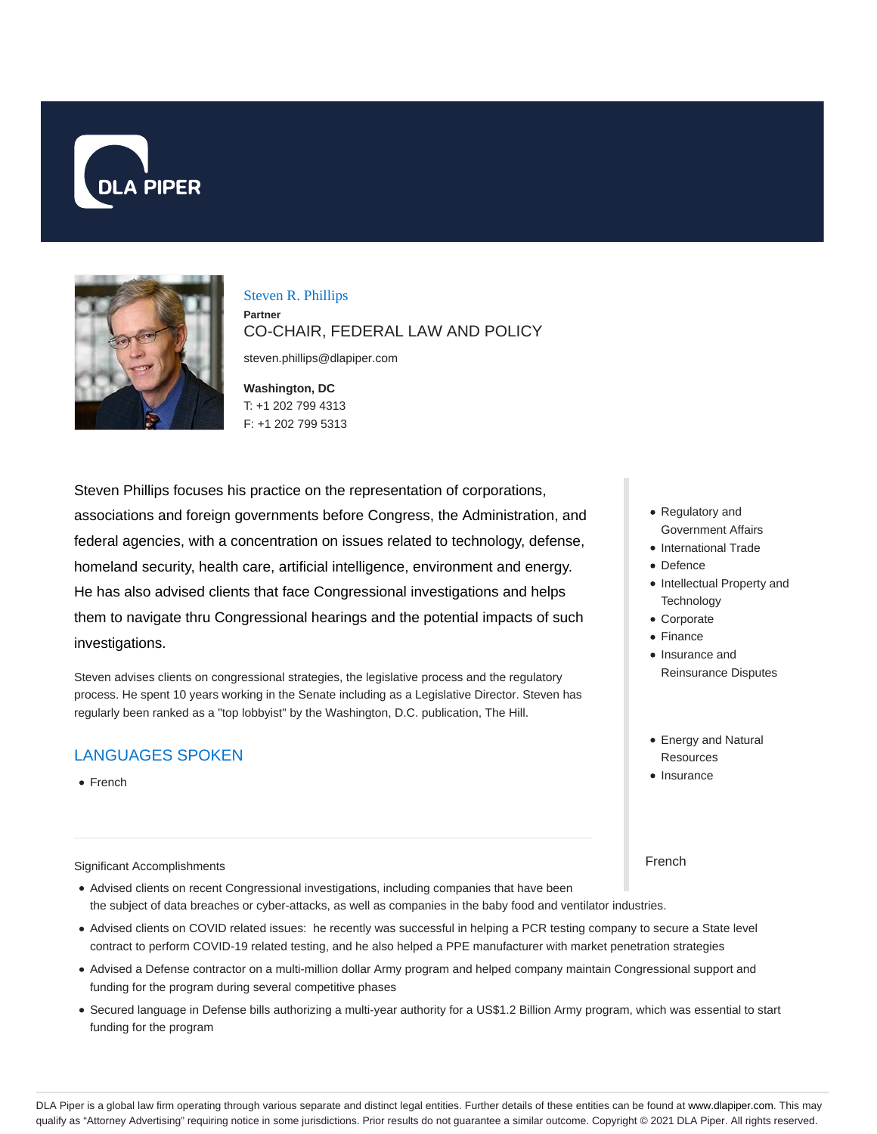



Steven R. Phillips

**Partner** CO-CHAIR, FEDERAL LAW AND POLICY

steven.phillips@dlapiper.com

**Washington, DC** T: +1 202 799 4313 F: +1 202 799 5313

Steven Phillips focuses his practice on the representation of corporations, associations and foreign governments before Congress, the Administration, and federal agencies, with a concentration on issues related to technology, defense, homeland security, health care, artificial intelligence, environment and energy. He has also advised clients that face Congressional investigations and helps them to navigate thru Congressional hearings and the potential impacts of such investigations.

Steven advises clients on congressional strategies, the legislative process and the regulatory process. He spent 10 years working in the Senate including as a Legislative Director. Steven has regularly been ranked as a "top lobbyist" by the Washington, D.C. publication, The Hill.

# LANGUAGES SPOKEN

• French

#### Significant Accomplishments

- Advised clients on recent Congressional investigations, including companies that have been the subject of data breaches or cyber-attacks, as well as companies in the baby food and ventilator industries.
- Advised clients on COVID related issues: he recently was successful in helping a PCR testing company to secure a State level contract to perform COVID-19 related testing, and he also helped a PPE manufacturer with market penetration strategies
- Advised a Defense contractor on a multi-million dollar Army program and helped company maintain Congressional support and funding for the program during several competitive phases
- Secured language in Defense bills authorizing a multi-year authority for a US\$1.2 Billion Army program, which was essential to start funding for the program
- Regulatory and Government Affairs
- International Trade
- Defence
- Intellectual Property and **Technology**
- Corporate
- Finance
- Insurance and Reinsurance Disputes
- Energy and Natural Resources
- Insurance

#### French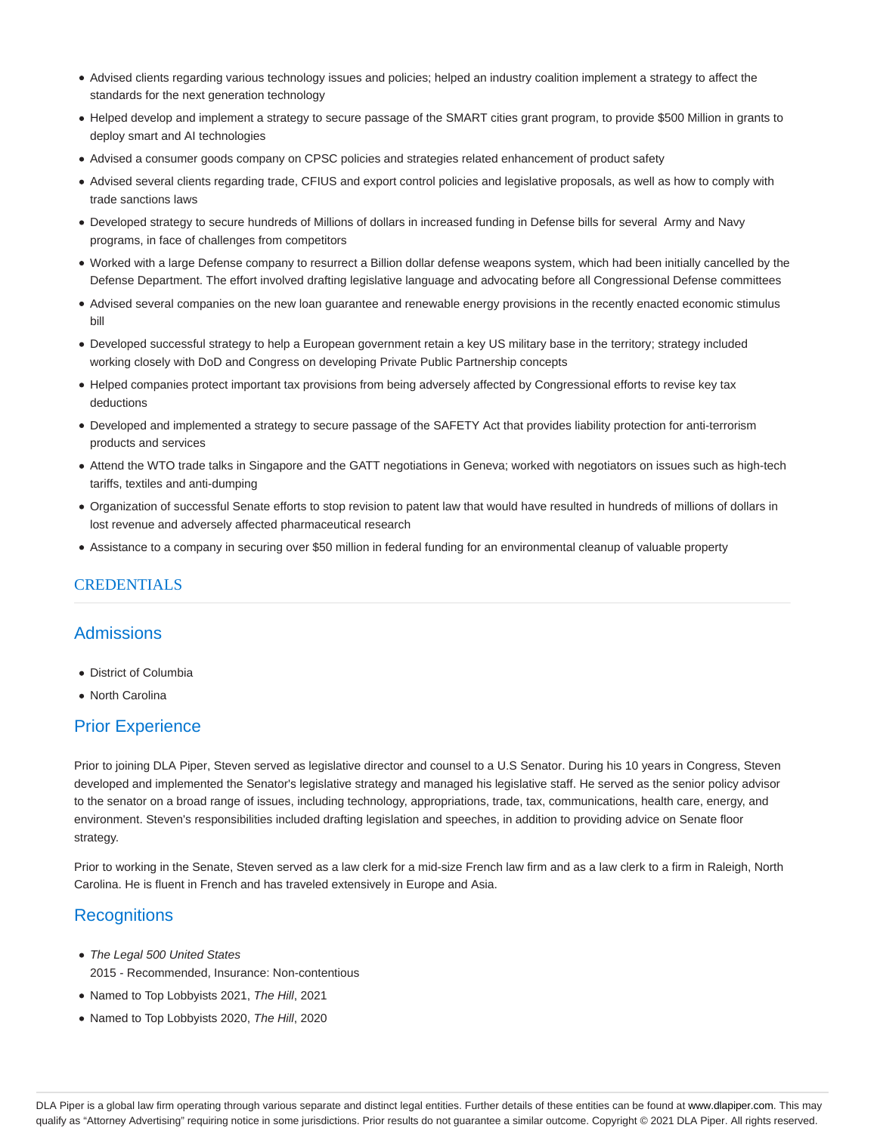- Advised clients regarding various technology issues and policies; helped an industry coalition implement a strategy to affect the standards for the next generation technology
- Helped develop and implement a strategy to secure passage of the SMART cities grant program, to provide \$500 Million in grants to deploy smart and AI technologies
- Advised a consumer goods company on CPSC policies and strategies related enhancement of product safety
- Advised several clients regarding trade, CFIUS and export control policies and legislative proposals, as well as how to comply with trade sanctions laws
- Developed strategy to secure hundreds of Millions of dollars in increased funding in Defense bills for several Army and Navy programs, in face of challenges from competitors
- Worked with a large Defense company to resurrect a Billion dollar defense weapons system, which had been initially cancelled by the Defense Department. The effort involved drafting legislative language and advocating before all Congressional Defense committees
- Advised several companies on the new loan guarantee and renewable energy provisions in the recently enacted economic stimulus bill
- Developed successful strategy to help a European government retain a key US military base in the territory; strategy included working closely with DoD and Congress on developing Private Public Partnership concepts
- Helped companies protect important tax provisions from being adversely affected by Congressional efforts to revise key tax deductions
- Developed and implemented a strategy to secure passage of the SAFETY Act that provides liability protection for anti-terrorism products and services
- Attend the WTO trade talks in Singapore and the GATT negotiations in Geneva; worked with negotiators on issues such as high-tech tariffs, textiles and anti-dumping
- Organization of successful Senate efforts to stop revision to patent law that would have resulted in hundreds of millions of dollars in lost revenue and adversely affected pharmaceutical research
- Assistance to a company in securing over \$50 million in federal funding for an environmental cleanup of valuable property

#### CREDENTIALS

## **Admissions**

- District of Columbia
- North Carolina

## Prior Experience

Prior to joining DLA Piper, Steven served as legislative director and counsel to a U.S Senator. During his 10 years in Congress, Steven developed and implemented the Senator's legislative strategy and managed his legislative staff. He served as the senior policy advisor to the senator on a broad range of issues, including technology, appropriations, trade, tax, communications, health care, energy, and environment. Steven's responsibilities included drafting legislation and speeches, in addition to providing advice on Senate floor strategy.

Prior to working in the Senate, Steven served as a law clerk for a mid-size French law firm and as a law clerk to a firm in Raleigh, North Carolina. He is fluent in French and has traveled extensively in Europe and Asia.

## **Recognitions**

- The Legal 500 United States 2015 - Recommended, Insurance: Non-contentious
- Named to Top Lobbyists 2021, The Hill, 2021
- Named to Top Lobbyists 2020, The Hill, 2020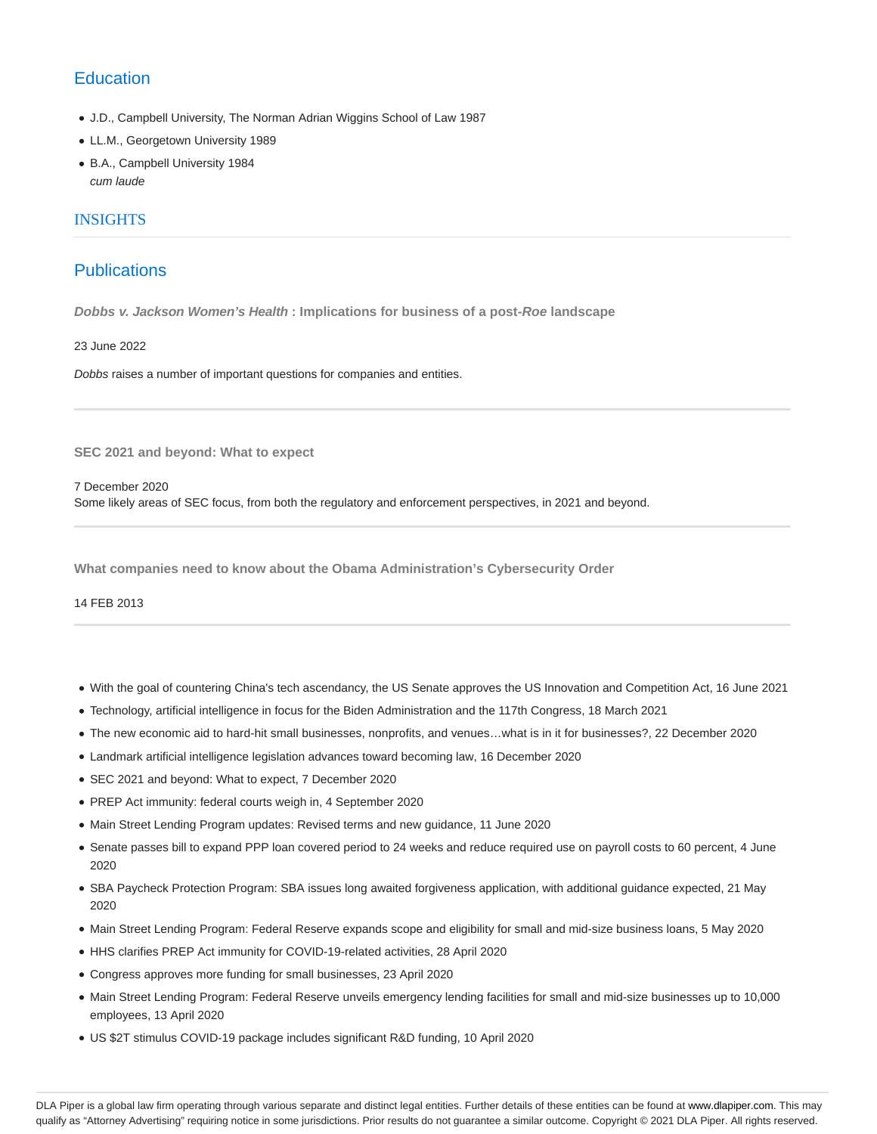# **Education**

- J.D., Campbell University, The Norman Adrian Wiggins School of Law 1987
- LL.M., Georgetown University 1989
- B.A., Campbell University 1984 cum laude

### INSIGHTS

## **Publications**

**Dobbs v. Jackson Women's Health : Implications for business of a post-Roe landscape**

23 June 2022

Dobbs raises a number of important questions for companies and entities.

**SEC 2021 and beyond: What to expect**

7 December 2020 Some likely areas of SEC focus, from both the regulatory and enforcement perspectives, in 2021 and beyond.

**What companies need to know about the Obama Administration's Cybersecurity Order**

14 FEB 2013

- With the goal of countering China's tech ascendancy, the US Senate approves the US Innovation and Competition Act, 16 June 2021
- Technology, artificial intelligence in focus for the Biden Administration and the 117th Congress, 18 March 2021
- The new economic aid to hard-hit small businesses, nonprofits, and venues…what is in it for businesses?, 22 December 2020
- Landmark artificial intelligence legislation advances toward becoming law, 16 December 2020
- SEC 2021 and beyond: What to expect, 7 December 2020
- PREP Act immunity: federal courts weigh in, 4 September 2020
- Main Street Lending Program updates: Revised terms and new guidance, 11 June 2020
- Senate passes bill to expand PPP loan covered period to 24 weeks and reduce required use on payroll costs to 60 percent, 4 June 2020
- SBA Paycheck Protection Program: SBA issues long awaited forgiveness application, with additional guidance expected, 21 May 2020
- Main Street Lending Program: Federal Reserve expands scope and eligibility for small and mid-size business loans, 5 May 2020
- HHS clarifies PREP Act immunity for COVID-19-related activities, 28 April 2020
- Congress approves more funding for small businesses, 23 April 2020
- Main Street Lending Program: Federal Reserve unveils emergency lending facilities for small and mid-size businesses up to 10,000 employees, 13 April 2020
- US \$2T stimulus COVID-19 package includes significant R&D funding, 10 April 2020